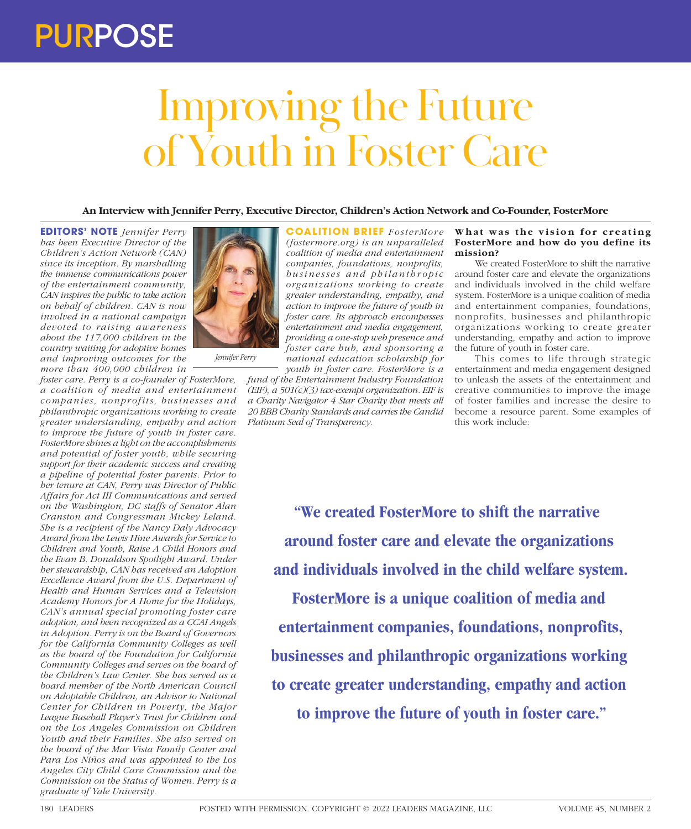## PURPOSE

# Improving the Future of Youth in Foster Care

**An Interview with Jennifer Perry, Executive Director, Children's Action Network and Co-Founder, FosterMore**

**EDITORS' NOTE** *Jennifer Perry has been Executive Director of the Children's Action Network (CAN) since its inception. By marshalling the immense communications power of the entertainment community, CAN inspires the public to take action on behalf of children. CAN is now involved in a national campaign devoted to raising awareness about the 117,000 children in the country waiting for adoptive homes and improving outcomes for the more than 400,000 children in* 

*foster care. Perry is a co-founder of FosterMore, a coalition of media and entertainment*   $components, nonprofits, business and$ *philanthropic organizations working to create greater understanding, empathy and action to improve the future of youth in foster care. FosterMore shines a light on the accomplishments and potential of foster youth, while securing support for their academic success and creating a pipeline of potential foster parents. Prior to her tenure at CAN, Perry was Director of Public Affairs for Act III Communications and served on the Washington, DC staffs of Senator Alan Cranston and Congressman Mickey Leland. She is a recipient of the Nancy Daly Advocacy Award from the Lewis Hine Awards for Service to Children and Youth, Raise A Child Honors and the Evan B. Donaldson Spotlight Award. Under her stewardship, CAN has received an Adoption Excellence Award from the U.S. Department of Health and Human Services and a Television Academy Honors for A Home for the Holidays, CAN's annual special promoting foster care adoption, and been recognized as a CCAI Angels in Adoption. Perry is on the Board of Governors for the California Community Colleges as well as the board of the Foundation for California Community Colleges and serves on the board of the Children's Law Center. She has served as a board member of the North American Council on Adoptable Children, an Advisor to National Center for Children in Poverty, the Major League Baseball Player's Trust for Children and on the Los Angeles Commission on Children Youth and their Families. She also served on the board of the Mar Vista Family Center and Para Los Niños and was appointed to the Los Angeles City Child Care Commission and the Commission on the Status of Women. Perry is a graduate of Yale University.*



**COALITION BRIEF** FosterMore *(fostermore.org) is an unparalleled coalition of media and entertainment companies, foundations, nonprofits, b u s i n e s s e s a n d p h i l a n t h r o p i c organizations working to create greater understanding, empathy, and action to improve the future of youth in foster care. Its approach encompasses entertainment and media engagement, providing a one-stop web presence and foster care hub, and sponsoring a national education scholarship for youth in foster care. FosterMore is a* 

*fund of the Entertainment Industry Foundation (EIF), a 501(c)(3) tax-exempt organization. EIF is a Charity Navigator 4 Star Charity that meets all 20 BBB Charity Standards and carries the Candid Platinum Seal of Transparency.*

#### What was the vision for creating **FosterMore and how do you define its mission?**

We created FosterMore to shift the narrative around foster care and elevate the organizations and individuals involved in the child welfare system. FosterMore is a unique coalition of media and entertainment companies, foundations, nonprofits, businesses and philanthropic organizations working to create greater understanding, empathy and action to improve the future of youth in foster care.

This comes to life through strategic entertainment and media engagement designed to unleash the assets of the entertainment and creative communities to improve the image of foster families and increase the desire to become a resource parent. Some examples of this work include:

**"We created FosterMore to shift the narrative around foster care and elevate the organizations and individuals involved in the child welfare system.** 

**FosterMore is a unique coalition of media and entertainment companies, foundations, nonprofits, businesses and philanthropic organizations working to create greater understanding, empathy and action to improve the future of youth in foster care."**